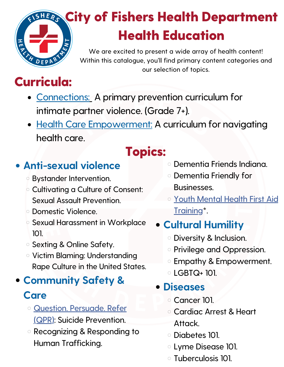# **ERG City of Fishers Health Department** Health Education

We are excited to present a wide array of health content! Within this catalogue, you'll find primary content categories and our selection of topics.

# Curricula:

- [Connections:](https://www.fishers.in.us/1368/Curricula) A primary prevention curriculum for intimate partner violence. (Grade 7+).
- Health Care [Empowerment:](https://www.fishers.in.us/1368/Curricula) A curriculum for navigating health care.

## Topics:

## **Anti-sexual violence**

- Bystander Intervention.
- Cultivating a Culture of Consent: Sexual Assault Prevention.
- Domestic Violence.
- Sexual Harassment in Workplace 101.
- Sexting & Online Safety.
- Victim Blaming: Understanding Rape Culture in the United States.

## **Community Safety & Care**

- Question. Persuade. Refer (QPR): Suicide [Prevention.](https://fishersin.viewpointcloud.com/categories/1091/record-types/1006609)
- Recognizing & Responding to Human Trafficking.

#### Dementia Friends Indiana.

- Dementia Friendly for Businesses.
- Youth Mental Health First Aid Training<sup>\*</sup>.

#### **Cultural Humility**

- Diversity & Inclusion.
- o Privilege and Oppression.
- Empathy & Empowerment.
- $\circ$  I GBTQ+ 101.

#### **Diseases**

- Cancer 101.
- Cardiac Arrest & Heart Attack.
- Diabetes 101.
- Lyme Disease 101.
- Tuberculosis 101.